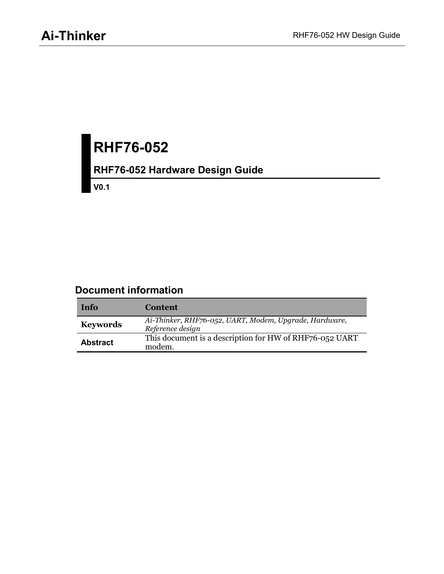# **RHF76-052**

## **RHF76-052 Hardware Design Guide**

**V0.1**

#### **Document information**

| Info            | <b>Content</b>                                                             |
|-----------------|----------------------------------------------------------------------------|
| <b>Keywords</b> | Ai-Thinker, RHF76-052, UART, Modem, Upgrade, Hardware,<br>Reference design |
| <b>Abstract</b> | This document is a description for HW of RHF76-052 UART<br>modem.          |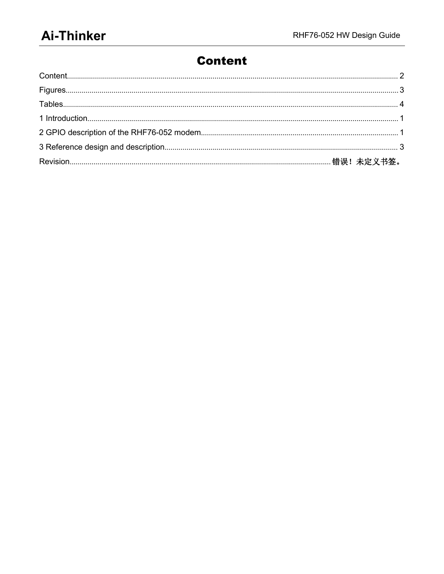#### <span id="page-1-0"></span>**Content**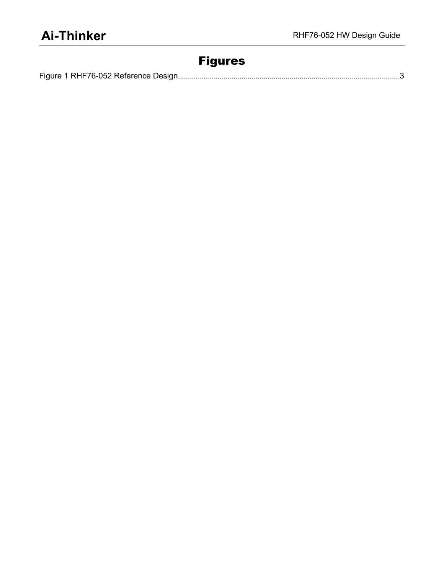#### <span id="page-2-0"></span>Figures

|--|--|--|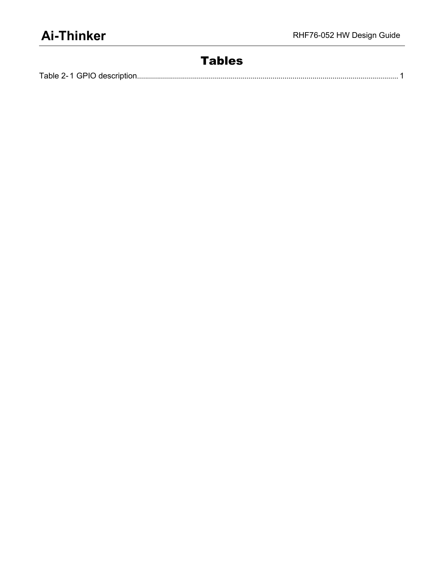#### <span id="page-3-0"></span>Tables

| -- 1 GPIO 1<br>Table 2-1<br>المداعي فالقامون والمساحين المتاري<br>, descriptio, |  |
|---------------------------------------------------------------------------------|--|
|---------------------------------------------------------------------------------|--|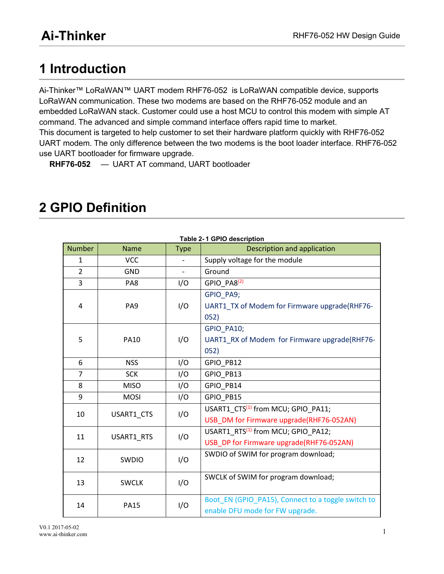### <span id="page-4-1"></span><span id="page-4-0"></span>**1 Introduction**

Ai-Thinker™ LoRaWAN™ UART modem RHF76-052 is [LoRaWAN](http://lora-alliance.org/) compatible device, supports LoRaWAN communication. These two modems are based on the RHF76-052 module and an embedded LoRaWAN stack. Customer could use a host MCU to control this modem with simple AT command. The advanced and simple command interface offers rapid time to market. This document is targeted to help customer to set their hardware platform quickly with RHF76-052 UART modem. The only difference between the two modems is the boot loader interface. RHF76-052 use UART bootloader for firmware upgrade.

**RHF76-052** — UART AT command, UART bootloader

| Table 2-1 GPIO description |              |             |                                                    |  |
|----------------------------|--------------|-------------|----------------------------------------------------|--|
| <b>Number</b>              | <b>Name</b>  | <b>Type</b> | Description and application                        |  |
| $\mathbf{1}$               | <b>VCC</b>   |             | Supply voltage for the module                      |  |
| $\overline{2}$             | GND          |             | Ground                                             |  |
| $\overline{3}$             | PA8          | I/O         | GPIO_PA8 <sup>(2)</sup>                            |  |
|                            |              | I/O         | GPIO PA9;                                          |  |
| 4                          | PA9          |             | UART1_TX of Modem for Firmware upgrade(RHF76-      |  |
|                            |              |             | 052)                                               |  |
|                            | <b>PA10</b>  | I/O         | GPIO PA10;                                         |  |
| 5                          |              |             | UART1 RX of Modem for Firmware upgrade(RHF76-      |  |
|                            |              |             | 052)                                               |  |
| 6                          | <b>NSS</b>   | I/O         | GPIO_PB12                                          |  |
| $\overline{7}$             | <b>SCK</b>   | I/O         | GPIO_PB13                                          |  |
| 8                          | <b>MISO</b>  | I/O         | GPIO_PB14                                          |  |
| 9                          | <b>MOSI</b>  | I/O         | GPIO_PB15                                          |  |
| 10                         | USART1 CTS   | I/O         | USART1 CTS <sup>(1)</sup> from MCU; GPIO PA11;     |  |
|                            |              |             | USB_DM for Firmware upgrade(RHF76-052AN)           |  |
| 11                         | USART1 RTS   | I/O         | USART1_RTS <sup>(1)</sup> from MCU; GPIO_PA12;     |  |
|                            |              |             | USB_DP for Firmware upgrade(RHF76-052AN)           |  |
| 12                         | SWDIO        | I/O         | SWDIO of SWIM for program download;                |  |
| 13                         | <b>SWCLK</b> | I/O         | SWCLK of SWIM for program download;                |  |
|                            |              |             |                                                    |  |
| 14                         | <b>PA15</b>  | I/O         | Boot_EN (GPIO_PA15), Connect to a toggle switch to |  |
|                            |              |             | enable DFU mode for FW upgrade.                    |  |

### **2 GPIO Definition**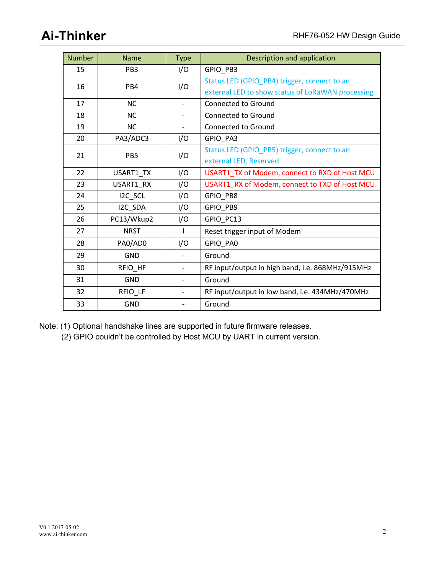| <b>Number</b> | <b>Name</b>     | <b>Type</b>              | Description and application                       |
|---------------|-----------------|--------------------------|---------------------------------------------------|
| 15            | PB <sub>3</sub> | I/O                      | GPIO PB3                                          |
| 16            | PB4             | I/O                      | Status LED (GPIO_PB4) trigger, connect to an      |
|               |                 |                          | external LED to show status of LoRaWAN processing |
| 17            | <b>NC</b>       | $\overline{\phantom{a}}$ | <b>Connected to Ground</b>                        |
| 18            | <b>NC</b>       | $\overline{\phantom{a}}$ | Connected to Ground                               |
| 19            | <b>NC</b>       | $\qquad \qquad -$        | Connected to Ground                               |
| 20            | PA3/ADC3        | I/O                      | GPIO_PA3                                          |
| 21            | PB5             | I/O                      | Status LED (GPIO_PB5) trigger, connect to an      |
|               |                 |                          | external LED, Reserved                            |
| 22            | USART1_TX       | I/O                      | USART1_TX of Modem, connect to RXD of Host MCU    |
| 23            | USART1_RX       | I/O                      | USART1_RX of Modem, connect to TXD of Host MCU    |
| 24            | I2C_SCL         | I/O                      | GPIO_PB8                                          |
| 25            | I2C_SDA         | I/O                      | GPIO PB9                                          |
| 26            | PC13/Wkup2      | I/O                      | GPIO_PC13                                         |
| 27            | <b>NRST</b>     | L                        | Reset trigger input of Modem                      |
| 28            | PA0/AD0         | I/O                      | GPIO_PA0                                          |
| 29            | <b>GND</b>      |                          | Ground                                            |
| 30            | RFIO_HF         | $\blacksquare$           | RF input/output in high band, i.e. 868MHz/915MHz  |
| 31            | <b>GND</b>      | $\overline{\phantom{a}}$ | Ground                                            |
| 32            | RFIO_LF         | $\overline{\phantom{a}}$ | RF input/output in low band, i.e. 434MHz/470MHz   |
| 33            | GND             | $\overline{\phantom{0}}$ | Ground                                            |

Note: (1) Optional handshake lines are supported in future firmware releases.

(2) GPIO couldn't be controlled by Host MCU by UART in current version.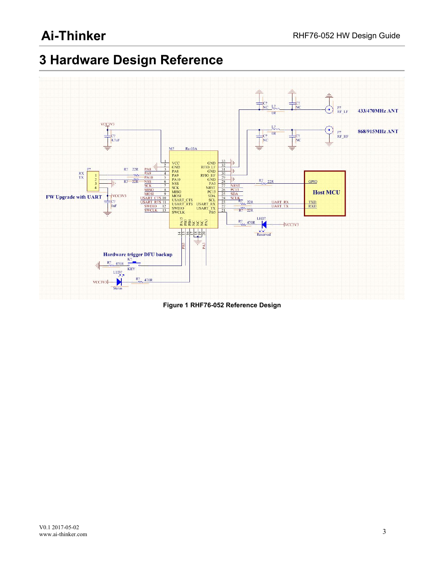## <span id="page-6-1"></span><span id="page-6-0"></span>**3 Hardware Design Reference**



**Figure 1 RHF76-052 Reference Design**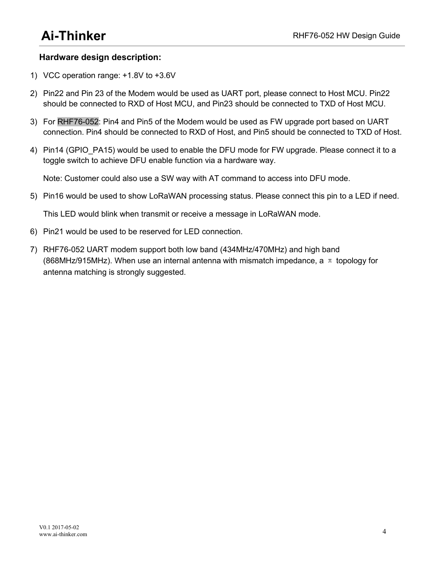#### **Hardware design description:**

- 1) VCC operation range: +1.8V to +3.6V
- 2) Pin22 and Pin 23 of the Modem would be used as UART port, please connect to Host MCU. Pin22 should be connected to RXD of Host MCU, and Pin23 should be connected to TXD of Host MCU.
- 3) For RHF76-052: Pin4 and Pin5 ofthe Modem would be used as FW upgrade port based on UART connection. Pin4 should be connected to RXD of Host, and Pin5 should be connected to TXD of Host.
- 4) Pin14 (GPIO\_PA15) would be used to enable the DFU mode for FW upgrade. Please connect it to a toggle switch to achieve DFU enable function via a hardware way.

Note: Customer could also use a SW way with AT command to access into DFU mode.<br>5) Pin16 would be used to show LoRaWAN processing status. Please connect this pin to a LED if need.

This LED would blink when transmit or receive a message in LoRaWAN mode.

- 6) Pin21 would be used to be reserved for LED connection.
- 7) RHF76-052 UART modem support both low band (434MHz/470MHz) and high band (868MHz/915MHz). When use an internal antenna with mismatch impedance, a  $\pi$  topology for antenna matching is strongly suggested.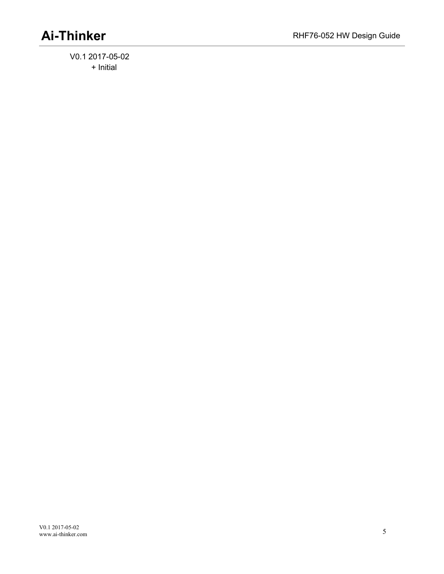V0.1 2017-05-02 + Initial